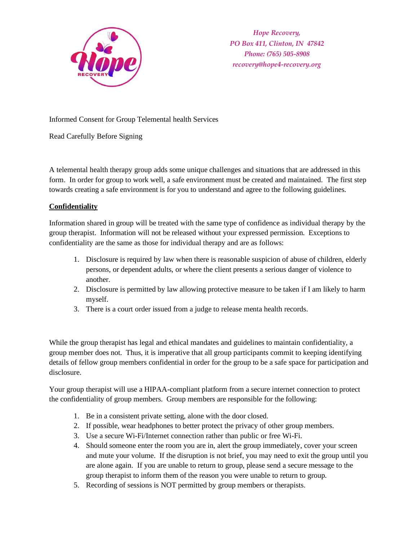

*Hope Recovery, PO Box 411, Clinton, IN 47842 Phone: (765) 505-8908 recovery@hope4-recovery.org*

Informed Consent for Group Telemental health Services

Read Carefully Before Signing

A telemental health therapy group adds some unique challenges and situations that are addressed in this form. In order for group to work well, a safe environment must be created and maintained. The first step towards creating a safe environment is for you to understand and agree to the following guidelines.

### **Confidentiality**

Information shared in group will be treated with the same type of confidence as individual therapy by the group therapist. Information will not be released without your expressed permission. Exceptions to confidentiality are the same as those for individual therapy and are as follows:

- 1. Disclosure is required by law when there is reasonable suspicion of abuse of children, elderly persons, or dependent adults, or where the client presents a serious danger of violence to another.
- 2. Disclosure is permitted by law allowing protective measure to be taken if I am likely to harm myself.
- 3. There is a court order issued from a judge to release menta health records.

While the group therapist has legal and ethical mandates and guidelines to maintain confidentiality, a group member does not. Thus, it is imperative that all group participants commit to keeping identifying details of fellow group members confidential in order for the group to be a safe space for participation and disclosure.

Your group therapist will use a HIPAA-compliant platform from a secure internet connection to protect the confidentiality of group members. Group members are responsible for the following:

- 1. Be in a consistent private setting, alone with the door closed.
- 2. If possible, wear headphones to better protect the privacy of other group members.
- 3. Use a secure Wi-Fi/Internet connection rather than public or free Wi-Fi.
- 4. Should someone enter the room you are in, alert the group immediately, cover your screen and mute your volume. If the disruption is not brief, you may need to exit the group until you are alone again. If you are unable to return to group, please send a secure message to the group therapist to inform them of the reason you were unable to return to group.
- 5. Recording of sessions is NOT permitted by group members or therapists.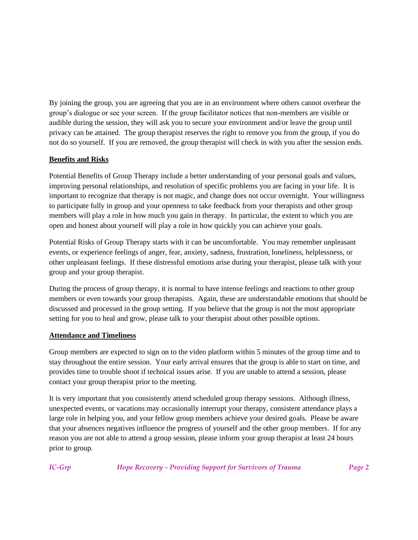By joining the group, you are agreeing that you are in an environment where others cannot overhear the group's dialogue or see your screen. If the group facilitator notices that non-members are visible or audible during the session, they will ask you to secure your environment and/or leave the group until privacy can be attained. The group therapist reserves the right to remove you from the group, if you do not do so yourself. If you are removed, the group therapist will check in with you after the session ends.

### **Benefits and Risks**

Potential Benefits of Group Therapy include a better understanding of your personal goals and values, improving personal relationships, and resolution of specific problems you are facing in your life. It is important to recognize that therapy is not magic, and change does not occur overnight. Your willingness to participate fully in group and your openness to take feedback from your therapists and other group members will play a role in how much you gain in therapy. In particular, the extent to which you are open and honest about yourself will play a role in how quickly you can achieve your goals.

Potential Risks of Group Therapy starts with it can be uncomfortable. You may remember unpleasant events, or experience feelings of anger, fear, anxiety, sadness, frustration, loneliness, helplessness, or other unpleasant feelings. If these distressful emotions arise during your therapist, please talk with your group and your group therapist.

During the process of group therapy, it is normal to have intense feelings and reactions to other group members or even towards your group therapists. Again, these are understandable emotions that should be discussed and processed in the group setting. If you believe that the group is not the most appropriate setting for you to heal and grow, please talk to your therapist about other possible options.

# **Attendance and Timeliness**

Group members are expected to sign on to the video platform within 5 minutes of the group time and to stay throughout the entire session. Your early arrival ensures that the group is able to start on time, and provides time to trouble shoot if technical issues arise. If you are unable to attend a session, please contact your group therapist prior to the meeting.

It is very important that you consistently attend scheduled group therapy sessions. Although illness, unexpected events, or vacations may occasionally interrupt your therapy, consistent attendance plays a large role in helping you, and your fellow group members achieve your desired goals. Please be aware that your absences negatives influence the progress of yourself and the other group members. If for any reason you are not able to attend a group session, please inform your group therapist at least 24 hours prior to group.

*IC-Grp Hope Recovery – Providing Support for Survivors of Trauma Page 2*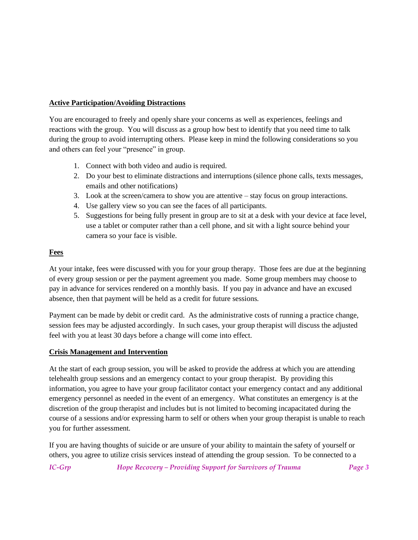### **Active Participation/Avoiding Distractions**

You are encouraged to freely and openly share your concerns as well as experiences, feelings and reactions with the group. You will discuss as a group how best to identify that you need time to talk during the group to avoid interrupting others. Please keep in mind the following considerations so you and others can feel your "presence" in group.

- 1. Connect with both video and audio is required.
- 2. Do your best to eliminate distractions and interruptions (silence phone calls, texts messages, emails and other notifications)
- 3. Look at the screen/camera to show you are attentive stay focus on group interactions.
- 4. Use gallery view so you can see the faces of all participants.
- 5. Suggestions for being fully present in group are to sit at a desk with your device at face level, use a tablet or computer rather than a cell phone, and sit with a light source behind your camera so your face is visible.

## **Fees**

At your intake, fees were discussed with you for your group therapy. Those fees are due at the beginning of every group session or per the payment agreement you made. Some group members may choose to pay in advance for services rendered on a monthly basis. If you pay in advance and have an excused absence, then that payment will be held as a credit for future sessions.

Payment can be made by debit or credit card. As the administrative costs of running a practice change, session fees may be adjusted accordingly. In such cases, your group therapist will discuss the adjusted feel with you at least 30 days before a change will come into effect.

### **Crisis Management and Intervention**

At the start of each group session, you will be asked to provide the address at which you are attending telehealth group sessions and an emergency contact to your group therapist. By providing this information, you agree to have your group facilitator contact your emergency contact and any additional emergency personnel as needed in the event of an emergency. What constitutes an emergency is at the discretion of the group therapist and includes but is not limited to becoming incapacitated during the course of a sessions and/or expressing harm to self or others when your group therapist is unable to reach you for further assessment.

If you are having thoughts of suicide or are unsure of your ability to maintain the safety of yourself or others, you agree to utilize crisis services instead of attending the group session. To be connected to a